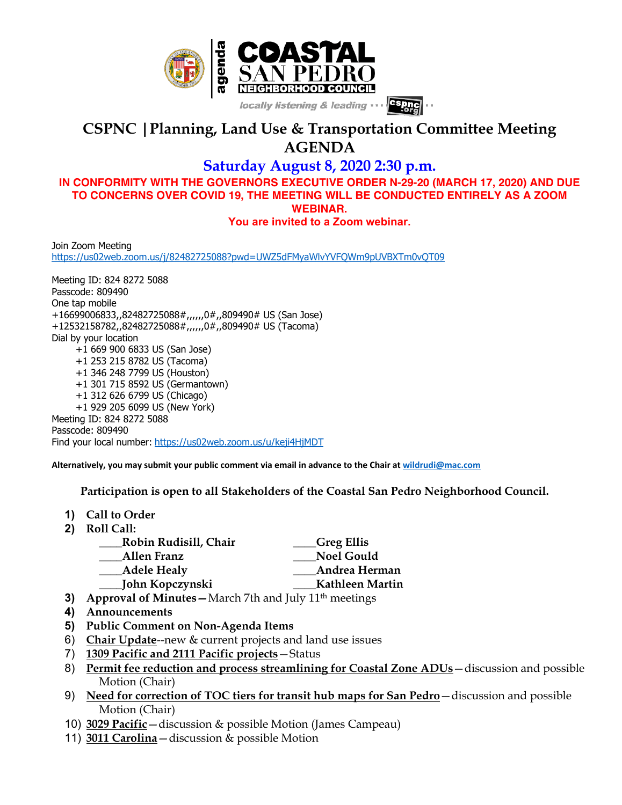

## **CSPNC |Planning, Land Use & Transportation Committee Meeting AGENDA**

**Saturday August 8, 2020 2:30 p.m.**

**IN CONFORMITY WITH THE GOVERNORS EXECUTIVE ORDER N-29-20 (MARCH 17, 2020) AND DUE TO CONCERNS OVER COVID 19, THE MEETING WILL BE CONDUCTED ENTIRELY AS A ZOOM WEBINAR.**

**You are invited to a Zoom webinar.**

Join Zoom Meeting https://us02web.zoom.us/j/82482725088?pwd=UWZ5dFMyaWlvYVFQWm9pUVBXTm0vQT09

Meeting ID: 824 8272 5088 Passcode: 809490 One tap mobile +16699006833,,82482725088#,,,,,,0#,,809490# US (San Jose) +12532158782,,82482725088#,,,,,,0#,,809490# US (Tacoma) Dial by your location +1 669 900 6833 US (San Jose) +1 253 215 8782 US (Tacoma) +1 346 248 7799 US (Houston) +1 301 715 8592 US (Germantown) +1 312 626 6799 US (Chicago) +1 929 205 6099 US (New York) Meeting ID: 824 8272 5088 Passcode: 809490 Find your local number: https://us02web.zoom.us/u/keji4HjMDT

**Alternatively, you may submit your public comment via email in advance to the Chair at wildrudi@mac.com**

 **Participation is open to all Stakeholders of the Coastal San Pedro Neighborhood Council.**

- **1) Call to Order**
- **2) Roll Call:**

| Robin Rudisill, Chair | Greg Ellis        |
|-----------------------|-------------------|
| Allen Franz           | <b>Noel Gould</b> |
| <b>Adele Healy</b>    | Andrea Herman     |
| John Kopczynski       | Kathleen Martin   |

- **3) Approval of Minutes** March 7th and July 11<sup>th</sup> meetings
- **4) Announcements**
- **5) Public Comment on Non-Agenda Items**
- 6) **Chair Update**--new & current projects and land use issues
- 7) **1309 Pacific and 2111 Pacific projects**—Status
- 8) **Permit fee reduction and process streamlining for Coastal Zone ADUs**—discussion and possible Motion (Chair)
- 9) **Need for correction of TOC tiers for transit hub maps for San Pedro**—discussion and possible Motion (Chair)
- 10) **3029 Pacific**—discussion & possible Motion (James Campeau)
- 11) **3011 Carolina**—discussion & possible Motion